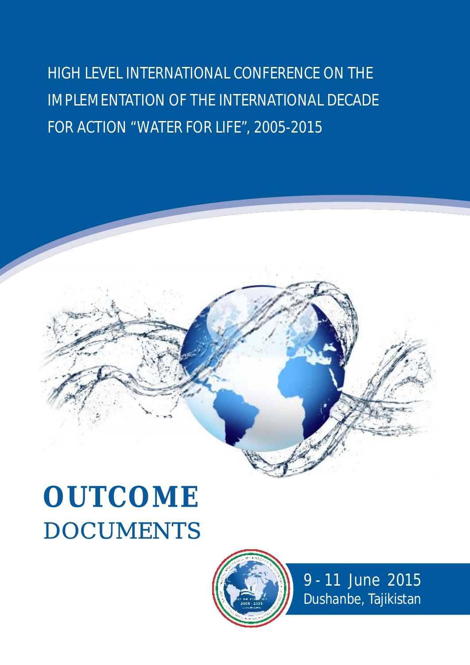HIGH LEVEL INTERNATIONAL CONFERENCE ON THE IMPLEMENTATION OF THE INTERNATIONAL DECADE FOR ACTION "WATER FOR LIFE", 2005-2015

# **OUTCOME** DOCUMENTS



9 - 11 June 2015 Dushanbe, Tajikistan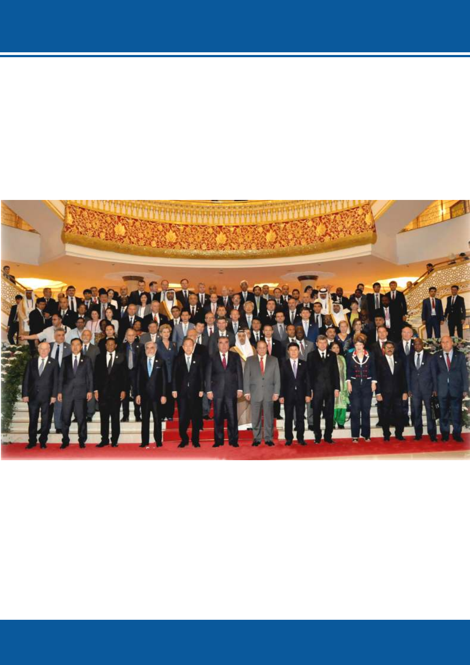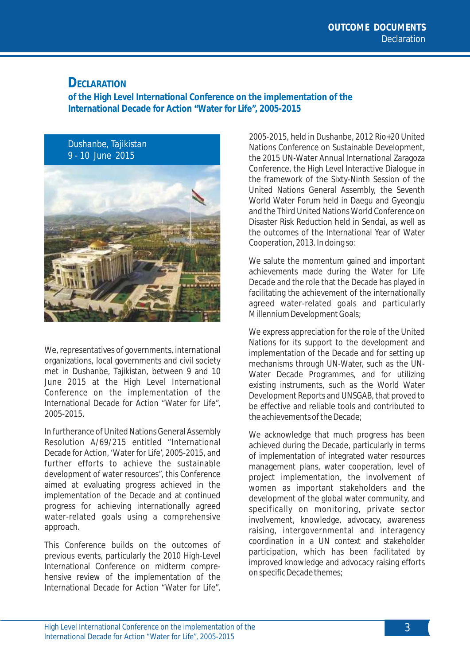# **DECLARATION**

**of the High Level International Conference on the implementation of the International Decade for Action "Water for Life", 2005-2015**



We, representatives of governments, international implementation of the Decade and for setting up<br>organizations, local governments and civil society mechanisms through UN Water such as the UN organizations, local governments and civil society and chanisms through UN-Water, such as the UN-<br>met in Dushanbe, Tajikistan, between 9 and 10 met in Dushanbe, Tajikistan, between 9 and 10 and Water Decade Programmes, and for utilizing<br>June 2015 at the High Level International avisting instruments such as the World Water June 2015 at the High Level International existing instruments, such as the World Water<br>Conference on the implementation of the Dovelopment Peperts and UNSCAP that proved to Conference on the implementation of the Development Reports and UNSGAB, that proved to<br>International Decade for Action "Water for Life". The effective and reliable tools and contributed to International Decade for Action "Water for Life", be effective and reliable tools and contributed to<br>
the estime ments of the Desade:

In furtherance of United Nations General Assembly We acknowledge that much progress has been Resolution A/69/215 entitled "International Decade for Action, 'Water for Life', 2005-2015, and<br>further efforts to achieve the sustainable<br>function of integrated water resources further efforts to achieve the sustainable management plans, water cooperation, level of development of water resources", this Conference development of water resources", this Conference better project implementation, the involvement of aimed at evaluating progress achieved in the surface progress and the aimed at evaluating progress achieved in the women as important stakeholders and the implementation of the Decade and at continued implementation of the Decade and at continued<br>progress for achieving internationally agreed<br>concritically on monitoring private soctor progress for achieving internationally agreed specifically on monitoring, private sector<br>water-related goals using a comprehensive involvement knowledge advocacy awareness water-related goals using a comprehensive involvement, knowledge, advocacy, awareness<br>approach. interaction interaction interaction and interactional

previous events, particularly the 2010 High-Level previous events, particularly the 2010 right-Level<br>International Conference on midterm compre-<br>International Conference on midterm compre-<br>International Conference on midterm compre-<br>International Conference on midterm com hensive review of the implementation of the International Decade for Action "Water for Life",

2005-2015, held in Dushanbe, 2012 Rio+20 United Nations Conference on Sustainable Development, the 2015 UN-Water Annual International Zaragoza Conference, the High Level Interactive Dialogue in the framework of the Sixty-Ninth Session of the United Nations General Assembly, the Seventh World Water Forum held in Daegu and Gyeongju and the Third United Nations World Conference on Disaster Risk Reduction held in Sendai, as well as the outcomes of the International Year of Water Cooperation, 2013. In doing so:

We salute the momentum gained and important achievements made during the Water for Life Decade and the role that the Decade has played in facilitating the achievement of the internationally agreed water-related goals and particularly Millennium Development Goals;

We express appreciation for the role of the United Nations for its support to the development and the achievements of the Decade;

achieved during the Decade, particularly in terms raising, intergovernmental and interagency This Conference builds on the outcomes of coordination in a UN context and stakeholder participation, which has been facilitated by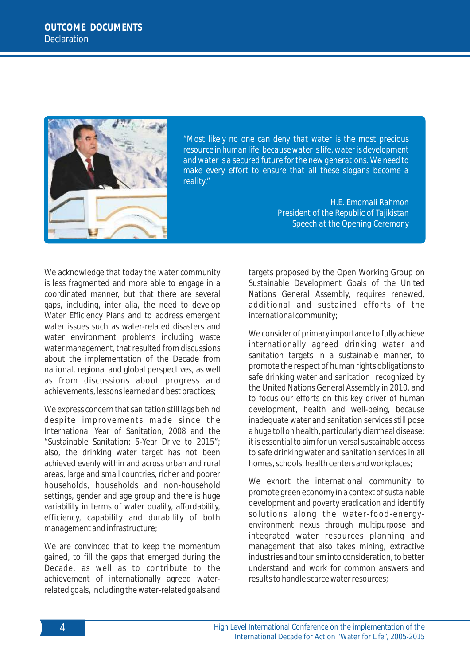

*"Most likely no one can deny that water is the most precious resource in human life, because water is life, water is development and water is a secured future for the new generations. We need to make every effort to ensure that all these slogans become a reality."*

> *H.E. Emomali Rahmon President of the Republic of Tajikistan Speech at the Opening Ceremony*

coordinated manner, but that there are several Nations General Assembly, requires renewed, gaps, including, inter alia, the need to develop additional and sustained efforts of the Water Efficiency Plans and to address emergent international community; water issues such as water-related disasters and water environment problems including waste We consider of primary importance to fully achieve<br>water environment problems including waste internationally agreed drinking water and water management, that resulted from discussions and the management, that resulted from discussions and multiple in a sustainable manner, to sanitation targets in a sustainable manner, to<br>notional regional and global perspectives as well about the respect of human rights obligations to national, regional and global perspectives, as well promote the respect of human rights obligations to national, regional and sanitation recognized by as from discussions about progress and safe drinking water and sanitation recognized by<br>as from discussions about progress and the United Nations General Assembly in 2010, and achievements, lessons learned and best practices;

despite improvements made since the inadequate water and sanitation services still pose International Year of Sanitation, 2008 and the a huge toll on health, particularly diarrheal disease; "Sustainable Sanitation: 5-Year Drive to 2015"; it is essential to aim for universal sustainable access also, the drinking water target has not been to safe drinking water and sanitation services in all achieved evenly within and across urban and rural homes, schools, health centers and workplaces; areas, large and small countries, richer and poorer households, households and non-household promote green economy in a context of sustainable<br>settings, gender and age group and there is huge development and poverty eradication and identify variability in terms of water quality, affordability, efficiency, capability and durability of both

gained, to fill the gaps that emerged during the industries and tourism into consideration, to better Decade, as well as to contribute to the understand and work for common answers and achievement of internationally agreed water-<br>
results to handle scarce water resources; related goals, including the water-related goals and

We acknowledge that today the water community targets proposed by the Open Working Group on is less fragmented and more able to engage in a sustainable Development Goals of the United

to focus our efforts on this key driver of human We express concern that sanitation still lags behind development, health and well-being, because

We exhort the international community to solutions along the water-food-energyenciency, capability and datability of both environment nexus through multipurpose and management and infrastructure; integrated water resources planning and We are convinced that to keep the momentum management that also takes mining, extractive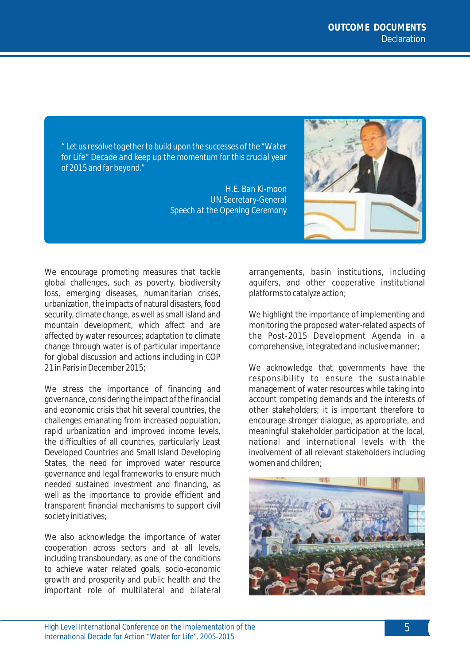*" Let us resolve together to build upon the successes of the "Water for Life" Decade and keep up the momentum for this crucial year of 2015 and far beyond."*

> *H.E. Ban Ki-moon UN Secretary-General Speech at the Opening Ceremony*



We encourage promoting measures that tackle arrangements, basin institutions, including global challenges, such as poverty, biodiversity aquifers, and other cooperative institutional loss, emerging diseases, humanitarian crises, platforms to catalyze action; urbanization, the impacts of natural disasters, food security, climate change, as well as small island and We highlight the importance of implementing and<br>mountain development, which affect and are monitoring the proposed water-related aspects of mountain development, which affect and are monitoring the proposed water-related aspects of affected by water resources: adaptation to climate the Post-2015 Development Agenda in a affected by water resources; adaptation to climate the Post-2015 Development Agenda in a change through water is of particular importance comprehensive, integrated and inclusive manner; change through water is of particular importance for global discussion and actions including in COP<br>21 in Paris in December 2015:

We stress the importance of financing and management of water resources while taking into governance, considering the impact of the financial account competing demands and the interests of and economic crisis that hit several countries, the other stakeholders; it is important therefore to challenges emanating from increased population, encourage stronger dialogue, as appropriate, and rapid urbanization and improved income levels, meaningful stakeholder participation at the local, the difficulties of all countries, particularly Least national and international levels with the Developed Countries and Small Island Developing involvement of all relevant stakeholders including<br>States, the need for improved water resource women and children: States, the need for improved water resource governance and legal frameworks to ensure much needed sustained investment and financing, as well as the importance to provide efficient and transparent financial mechanisms to support civil society initiatives;

We also acknowledge the importance of water cooperation across sectors and at all levels, including transboundary, as one of the conditions to achieve water related goals, socio-economic growth and prosperity and public health and the important role of multilateral and bilateral

We acknowledge that governments have the responsibility to ensure the sustainable

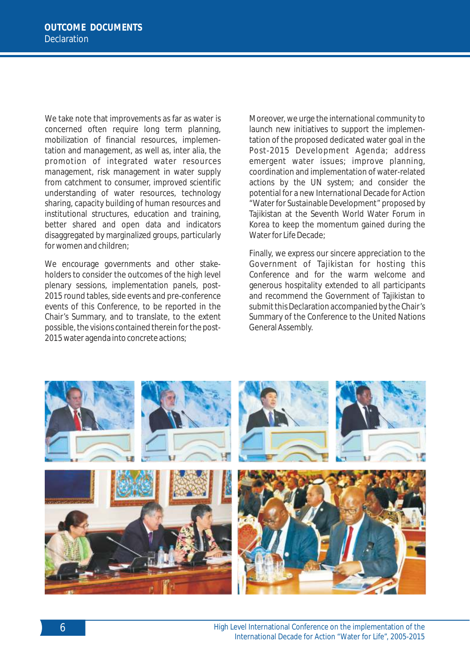We take note that improvements as far as water is Moreover, we urge the international community to concerned often require long term planning, a launch new initiatives to support the implemenmobilization of financial resources, implemen- tation of the proposed dedicated water goal in the tation and management, as well as, inter alia, the Post-2015 Development Agenda; address promotion of integrated water resources emergent water issues; improve planning, promotion of integrated water resources management, risk management in water supply coordination and implementation of water-related from catchment to consumer, improved scientific actions by the UN system; and consider the understanding of water resources, technology potential for a new International Decade for Action sharing, capacity building of human resources and "Water for Sustainable Development" proposed by institutional structures, education and training, Tajikistan at the Seventh World Water Forum in better shared and open data and indicators Korea to keep the momentum gained during the disaggregated by marginalized groups, particularly Water for Life Decade; for women and children;

holders to consider the outcomes of the high level Conference and for the warm welcome and plenary sessions, implementation panels, post- generous hospitality extended to all participants 2015 round tables, side events and pre-conference and recommend the Government of Tajikistan to events of this Conference, to be reported in the submit this Declaration accompanied by the Chair's Chair's Summary, and to translate, to the extent Summary of the Conference to the United Nations possible, the visions contained therein for the post- General Assembly. 2015 water agenda into concrete actions;

Finally, we express our sincere appreciation to the We encourage governments and other stake-<br>
Government of Tajikistan for hosting this

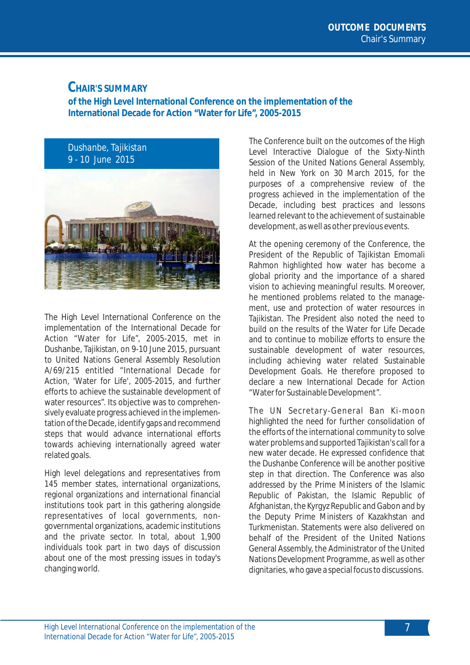# **CHAIR'S SUMMARY**

**of the High Level International Conference on the implementation of the International Decade for Action "Water for Life", 2005-2015**



The High Level International Conference on the Tajikistan. The President also noted the need to implementation of the International Decade for build on the results of the Water for Life Decade Action "Water for Life", 2005-2015, met in and to continue to mobilize efforts to ensure the Dushanbe, Tajikistan, on 9-10 June 2015, pursuant sustainable development of water resources,<br>to United Nations General Assembly Resolution including achieving water related Sustainable to United Nations General Assembly Resolution including achieving water related Sustainable<br>A/69/215 entitled "International Decade for Development Goals. He therefore proposed to A/69/215 entitled "International Decade for bevelopment Goals. He therefore proposed to<br>Action, 'Water for Life', 2005-2015, and further declare a new International Decade for Action efforts to achieve the sustainable development of "Water for Sustainable Development". water resources". Its objective was to comprehensively evaluate progress achieved in the implemen-<br>
The UN Secretary-General Ban Ki-moon<br>
tation of the Decade identify gans and recommend highlighted the need for further consolidation of tation of the Decade, identify gaps and recommend<br>the efforts of the international community to solve<br>the efforts of the international community to solve steps that would advance international efforts the efforts of the international community to solve<br>towards achieving internationally agreed water<br>water problems and supported Tajikistan's call for a towards achieving internationally agreed water related goals. The contract of the contract of the expressed confidence that related goals.

High level delegations and representatives from step in that direction. The Conference was also<br>145 member states, international organizations, addressed by the Prime Ministers of the Islamic 145 member states, international organizations, addressed by the Prime Ministers of the Islamic<br>
regional organizations and international financial and Republic of Pakistan, the Islamic Republic of regional organizations and international financial and Republic of Pakistan, the Islamic Republic of institutions took part in this gathering alongside and Afghanistan, the Kyrgyz Republic and Gabon and by institutions took part in this gathering alongside Afghanistan, the Kyrgyz Republic and Gabon and by<br>
representatives of local governments, non-<br>
the Deputy Prime Ministers of Kazakhstan and representatives of local governments, non-<br>governmental organizations, academic institutions<br>Turkmenistan, Statements were also delivered on governmental organizations, academic institutions Turkmenistan. Statements were also delivered on<br>and the private sector. In total, about 1,900 behalf of the President of the United Nations and the private sector. In total, about 1,900 behalf of the President of the United Nations individuals took part in two days of discussion General Assembly, the Administrator of the United individuals took part in two days of discussion<br>about one of the most pressing issues in today's Nations Development Programme, as well as other about one of the most pressing issues in today's Nations Development Programme, as well as other<br>changing world. discussions.

The Conference built on the outcomes of the High Level Interactive Dialogue of the Sixty-Ninth Session of the United Nations General Assembly, held in New York on 30 March 2015, for the purposes of a comprehensive review of the progress achieved in the implementation of the Decade, including best practices and lessons learned relevant to the achievement of sustainable development, as well as other previous events.

At the opening ceremony of the Conference, the President of the Republic of Tajikistan Emomali Rahmon highlighted how water has become a global priority and the importance of a shared vision to achieving meaningful results. Moreover, he mentioned problems related to the management, use and protection of water resources in build on the results of the Water for Life Decade declare a new International Decade for Action

the Dushanbe Conference will be another positive dignitaries, who gave a special focus to discussions.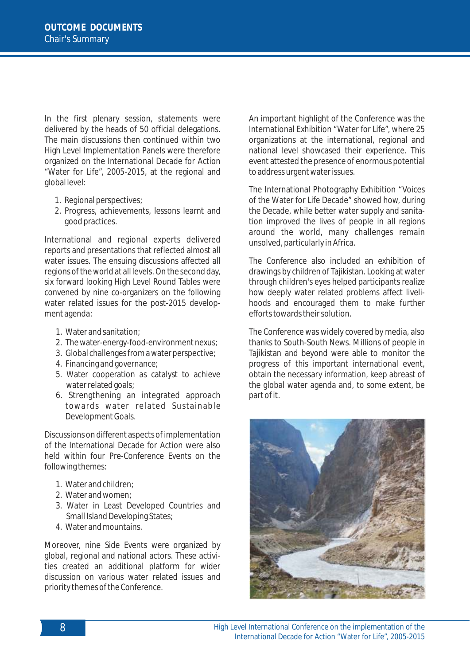In the first plenary session, statements were An important highlight of the Conference was the delivered by the heads of 50 official delegations. International Exhibition "Water for Life", where 25 The main discussions then continued within two organizations at the international, regional and High Level Implementation Panels were therefore national level showcased their experience. This organized on the International Decade for Action event attested the presence of enormous potential "Water for Life", 2005-2015, at the regional and to address urgent water issues. global level:

- 
- 

International and regional experts delivered unsolved, particularly in Africa. reports and presentations that reflected almost all water issues. The ensuing discussions affected all The Conference also included an exhibition of regions of the world at all levels. On the second day, drawings by children of Tajikistan. Looking at water<br>six forward looking High Level Round Tables were through children's eves helped participants realize convened by nine co-organizers on the following water related issues for the post-2015 development agenda: efforts towards their solution.

- 
- 
- 
- 
- 5. Water cooperation as catalyst to achieve
- 6. Strengthening an integrated approach part of it. towards water related Sustainable Development Goals.

Discussions on different aspects of implementation of the International Decade for Action were also held within four Pre-Conference Events on the following themes:

- 1. Water and children;
- 2. Water and women;
- 3. Water in Least Developed Countries and Small Island Developing States;
- 4. Water and mountains.

Moreover, nine Side Events were organized by global, regional and national actors. These activities created an additional platform for wider discussion on various water related issues and priority themes of the Conference.

event attested the presence of enormous potential

The International Photography Exhibition "Voices 1. Regional perspectives; of the Water for Life Decade" showed how, during 2. Progress, achievements, lessons learnt and the Decade, while better water supply and sanita-<br>tion improved the lives of people in all regions tion improved the lives of people in all regions around the world, many challenges remain

> through children's eyes helped participants realize<br>how deeply water related problems affect livelihoods and encouraged them to make further

1. Water and sanitation;<br>2. The water-energy-food-environment nexus:<br>2. The water-energy-food-environment nexus:<br>thanks to South-South News. Millions of people in thanks to South-South News. Millions of people in 3. Global challenges from a water perspective; Tajikistan and beyond were able to monitor the 4. Financing and governance; progress of this important international event,<br>5. Water cooperation as catalyst to achieve botain the necessary information, keep abreast of water related goals; the global water agenda and, to some extent, be

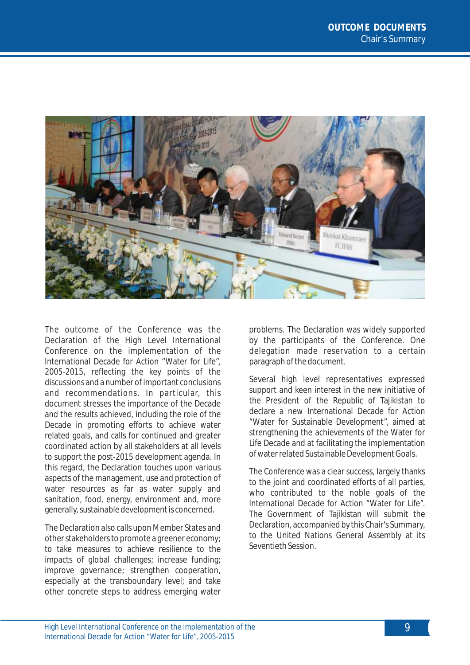

The outcome of the Conference was the problems. The Declaration was widely supported Declaration of the High Level International by the participants of the Conference. One Conference on the implementation of the delegation made reservation to a certain International Decade for Action "Water for Life", paragraph of the document.<br>2005-2015, reflecting the key points of the 2005-2015, reflecting the key points of the<br>discussions and a number of important conclusions<br>and recommendations. In particular, this<br>document stresses the importance of the Decade<br>and the results achieved, including the this regard, the Declaration touches upon various<br>spects of the management, use and protection of<br>water resources as far as water supply and<br>sanitation, food, energy, environment and, more<br>generally, sustainable developmen

The Declaration also calls upon Member States and<br>other stakeholders to promote a greener economy;<br>to the United Nations General Assembly at its<br>to take measures to achieve resilience to the<br>Seventieth Session. impacts of global challenges; increase funding; improve governance; strengthen cooperation, especially at the transboundary level; and take other concrete steps to address emerging water

The Government of Tajikistan will submit the Declaration, accompanied by this Chair's Summary,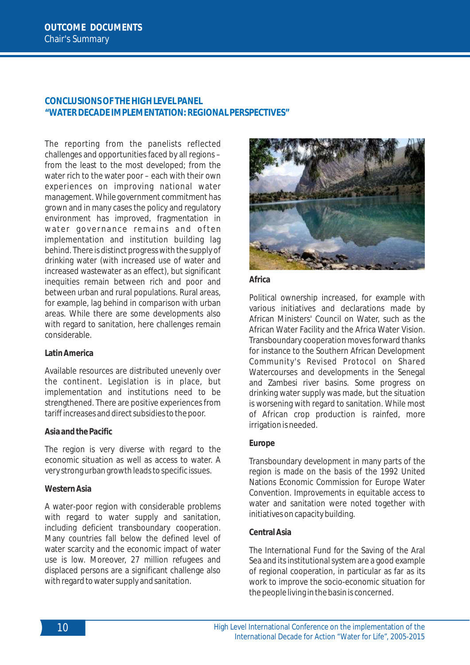# **CONCLUSIONS OF THE HIGH LEVEL PANEL "WATER DECADE IMPLEMENTATION: REGIONAL PERSPECTIVES"**

The reporting from the panelists reflected challenges and opportunities faced by all regions – from the least to the most developed; from the water rich to the water poor – each with their own experiences on improving national water management. While government commitment has grown and in many cases the policy and regulatory environment has improved, fragmentation in water governance remains and often implementation and institution building lag behind. There is distinct progress with the supply of drinking water (with increased use of water and increased wastewater as an effect), but significant inequities remain between rich and poor and **Africa**

Available resources are distributed unevenly over<br>
the continent. Legislation is in place, but and Zambesi river basins. Some progress on the continent. Legislation is in place, but and Zambesi river basins. Some progress on implementation and institutions need to be drinking water supply was made but the situation implementation and institutions need to be drinking water supply was made, but the situation<br>strengthened. There are positive experiences from is worsening with regard to sanitation While most strengthened. There are positive experiences from is worsening with regard to sanitation. While most<br>tariff increases and direct subsidies to the poor. The fact of african crope production is rainfed more

**Europe** The region is very diverse with regard to the economic situation as well as access to water. A Transboundary development in many parts of the very strong urban growth leads to specific issues.

including deficient transboundary cooperation. **Central Asia** Many countries fall below the defined level of water scarcity and the economic impact of water The International Fund for the Saving of the Aral<br>use is low. Moreover, 27 million refugees and Sea and its institutional system are a good example use is low. Moreover, 27 million refugees and Sea and its institutional system are a good example<br>displaced persons are a significant challenge also of regional cooperation, in particular as far as its displaced persons are a significant challenge also of regional cooperation, in particular as far as its<br>work to improve the socio-economic situation for



between urban and rural populations. Rural areas,<br>for example, lag behind in comparison with urban<br>areas. While there are some developments also<br>with regard to sanitation, here challenges remain<br>considerable. Transboundary for instance to the Southern African Development **Latin America** Community's Revised Protocol on Shared of African crop production is rainfed, more irrigation is needed. **Asia and the Pacific**

region is made on the basis of the 1992 United. Nations Economic Commission for Europe Water **Western Asia** Convention. Improvements in equitable access to A water-poor region with considerable problems water and sanitation were noted together with with regard to water supply and sanitation, initiatives on capacity building.

work to improve the socio-economic situation for the people living in the basin is concerned.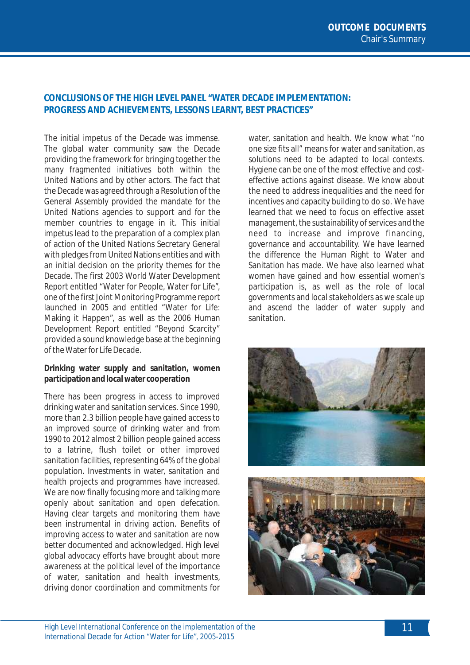# **CONCLUSIONS OF THE HIGH LEVEL PANEL "WATER DECADE IMPLEMENTATION: PROGRESS AND ACHIEVEMENTS, LESSONS LEARNT, BEST PRACTICES"**

The initial impetus of the Decade was immense. water, sanitation and health. We know what "no The global water community saw the Decade one size fits all" means for water and sanitation, as providing the framework for bringing together the solutions need to be adapted to local contexts. many fragmented initiatives both within the Hygiene can be one of the most effective and cost-United Nations and by other actors. The fact that effective actions against disease. We know about the Decade was agreed through a Resolution of the the need to address inequalities and the need for General Assembly provided the mandate for the incentives and capacity building to do so. We have<br>United Nations agencies to support and for the learned that we need to focus on effective asset United Nations agencies to support and for the learned that we need to focus on effective asset<br>member countries to engage in it. This initial management the sustainability of services and the impetus lead to the preparation of a complex plan heed to increase and improve financing, of action of the United Nations Secretary General governance and accountability. We have learned<br>with pledges from United Nations entities and with the difference the Human Right to Water and with pledges from United Nations entities and with an initial decision on the priority themes for the Sanitation has made. We have also learned what Decade. The first 2003 World Water Development women have gained and how essential women's Report entitled "Water for People, Water for Life", enticipation is, as well as the role of local one of the first Joint Monitoring Programme report governments and local stakeholders as we scale up launched in 2005 and entitled "Water for Life: and ascend the ladder of water supply and Making it Happen", as well as the 2006 Human sanitation. Development Report entitled "Beyond Scarcity" provided a sound knowledge base at the beginning of the Water for Life Decade.

**Drinking water supply and sanitation, women participation and local water cooperation**

There has been progress in access to improved drinking water and sanitation services. Since 1990, more than 2.3 billion people have gained access to an improved source of drinking water and from 1990 to 2012 almost 2 billion people gained access to a latrine, flush toilet or other improved sanitation facilities, representing 64% of the global population. Investments in water, sanitation and health projects and programmes have increased. We are now finally focusing more and talking more openly about sanitation and open defecation. Having clear targets and monitoring them have been instrumental in driving action. Benefits of improving access to water and sanitation are now better documented and acknowledged. High level global advocacy efforts have brought about more awareness at the political level of the importance of water, sanitation and health investments, driving donor coordination and commitments for

management, the sustainability of services and the

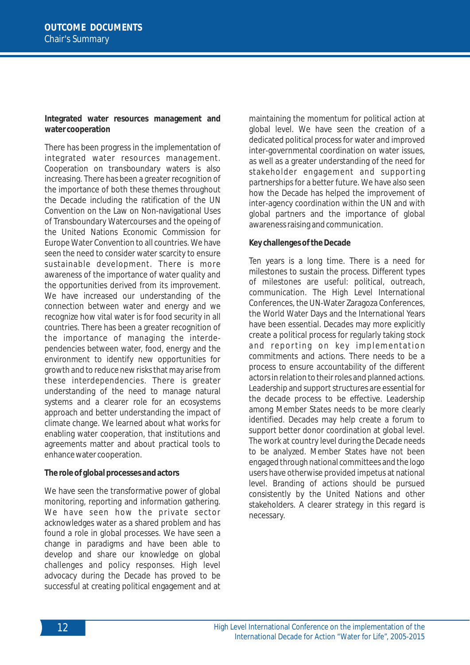**Integrated water resources management and** maintaining the momentum for political action at water cooperation **global level.** We have seen the creation of a

There has been progress in the implementation of<br>
integrated water resources management.<br>
Cooperation on transboundary waters is also<br>
increasing. There has been a greater recognition of<br>
the importance of both these theme Europe Water Convention to all countries. We have **Key challenges of the Decade** seen the need to consider water scarcity to ensure<br>sustainable development. There is more<br>awareness of the importance of water quality and<br>the opportunities derived from its improvement. We have increased our understanding We have increased our understanding of the communication. The High Level International<br>Conferences, the UN-Water Zaragoza Conferences,

We have seen the transformative power of global<br>monitoring, reporting and information gathering.<br>We have seen how the private sector<br>acknowledges water as a shared problem and has<br>mecessary. found a role in global processes. We have seen a change in paradigms and have been able to develop and share our knowledge on global challenges and policy responses. High level advocacy during the Decade has proved to be successful at creating political engagement and at

connection between water and energy and we<br>
recognize how vital water is for food security in all<br>
the World Water Days and the International Years<br>
countries. There has been a greater recognition of<br>
the importance of man **The role of global processes and actors** users have otherwise provided impetus at national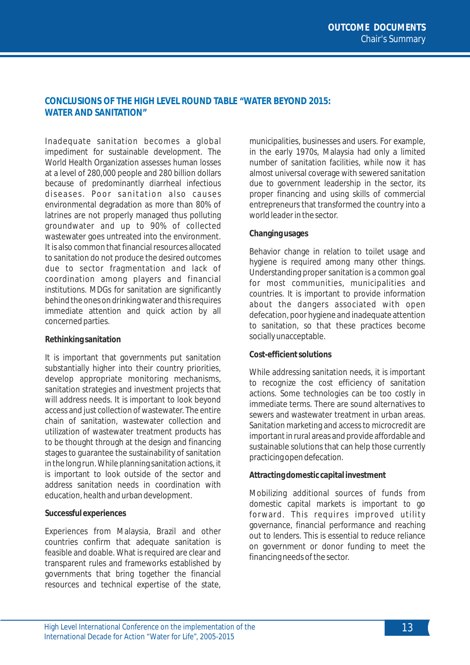# **CONCLUSIONS OF THE HIGH LEVEL ROUND TABLE "WATER BEYOND 2015: WATER AND SANITATION"**

Inadequate sanitation becomes a global municipalities, businesses and users. For example,<br>
impediment for sustainable development. The in the early 1970s, Malaysia had only a limited World Health Organization assesses human losses<br>at a level of 280,000 people and 280 billion dollars at a level of 280,000 people and 280 billion dollars almost universal coverage with sewered sanitation<br>because of predominantly diarrheal infectious due to government leadership in the sector, its because of predominantly diarrheal infectious due to government leadership in the sector, its<br>diseases. Poor sanitation also causes proper financing and using skills of commercial environmental degradation as more than 80% of entrepreneurs that transformed the country into a latrines are not properly managed thus polluting world leader in the sector. groundwater and up to 90% of collected **Changing usages** wastewater goes untreated into the environment. It is also common that financial resources allocated<br>
to sanitation do not produce the desired outcomes<br>
due to sector fragmentation and lack of<br>
coordination among players and financial<br>
institutions. MDGs for sanitation

**Cost-efficient solutions** It is important that governments put sanitation substantially higher into their country priorities,<br>develop appropriate monitoring mechanisms,<br>sanitation strategies and investment projects that<br>will address needs. It is important to look beyond<br>immediate terms. There ar access and just collection of wastewater. The entire<br>chain of sanitation, wastewater collection and<br>collection areas. chain of sanitation, wastewater collection and<br>utilization of wastewater treatment products has<br>to be thought through at the design and financing<br>stages to guarantee the sustainability of sanitation<br>in the long run. While is important to look outside of the sector and **Attracting domestic capital investment** address sanitation needs in coordination with education, health and urban development. Mobilizing additional sources of funds from

Experiences from Malaysia, Brazil and other out to lenders. This is essential to reduce reliance<br>countries confirm that adequate sanitation is countries confirm that adequate sanitation is<br>feasible and doable. What is required are clear and financing needs of the sector.<br>transparent rules and frameworks established by governments that bring together the financial resources and technical expertise of the state,

in the early 1970s, Malaysia had only a limited<br>number of sanitation facilities, while now it has proper financing and using skills of commercial

socially unacceptable. **Rethinking sanitation**

domestic capital markets is important to go Successful experiences<br> **Successful experiences**<br> **Successful experiences**<br> **Successful experiences**<br> **Successful experiences**<br> **Successful experience**<br> **Successful experience**<br> **Successful experience**<br> **Successful experie**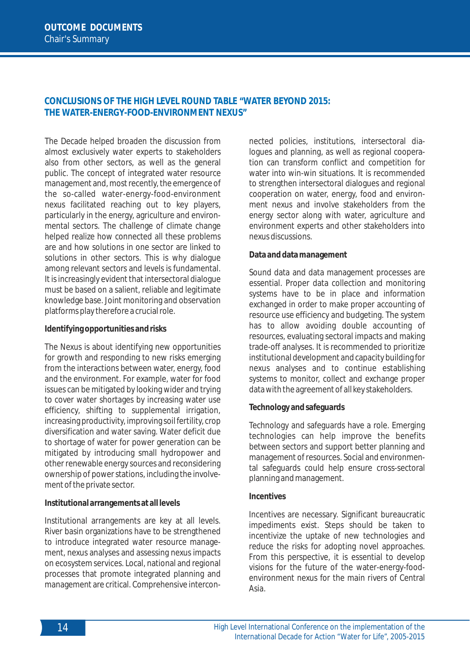# **CONCLUSIONS OF THE HIGH LEVEL ROUND TABLE "WATER BEYOND 2015: THE WATER-ENERGY-FOOD-ENVIRONMENT NEXUS"**

The Decade helped broaden the discussion from ented policies, institutions, intersectoral dia-<br>
almost exclusively water experts to stakeholders logues and planning, as well as regional cooperaalmost exclusively water experts to stakeholders also from other sectors, as well as the general tion can transform conflict and competition for public. The concept of integrated water resource water into win-win situations. It is recommended management and, most recently, the emergence of to strengthen intersectoral dialogues and regional the so-called water-energy-food-environment cooperation on water, energy, food and environnexus facilitated reaching out to key players, ment nexus and involve stakeholders from the particularly in the energy, agriculture and environ-<br>
energy sector along with water, agriculture and mental sectors. The challenge of climate change environment experts and other stakeholders into helped realize how connected all these problems nexus discussions. are and how solutions in one sector are linked to **Data and data management**<br>solutions in other sectors. This is why dialogue Data and data management

for growth and responding to new risks emerging institutional development and capacity building for from the interactions between water, energy, food nexus analyses and to continue establishing and the environment. For example, water for food systems to monitor, collect and exchange proper issues can be mitigated by looking wider and trying data with the agreement of all key stakeholders. to cover water shortages by increasing water use **Technology and safeguards** efficiency, shifting to supplemental irrigation, increasing productivity, improving soil fertility, crop<br>diversification and water saving. Water deficit due<br>to shortage of water for power generation can be<br>mitigated by introducing small hydropower and<br>other renewable ene

### **Institutional arrangements at all levels**

management are critical. Comprehensive intercon-

among relevant sectors and levels is fundamental.<br>
It is increasingly evident that intersectoral dialogue<br>
must be based on a salient, reliable and legitimate<br>
knowledge base. Joint monitoring and observation<br>
platforms pl has to allow avoiding double accounting of **Identifying opportunities and risks** resources, evaluating sectoral impacts and making The Nexus is about identifying new opportunities trade-off analyses. It is recommended to prioritize

### **Incentives**

Institutional arrangements are key at all levels.<br>
Niver basin organizations have to be strengthened<br>
to introduce integrated water resource manage-<br>
ment, nexus analyses and assessing nexus impacts<br>
on ecosystem services.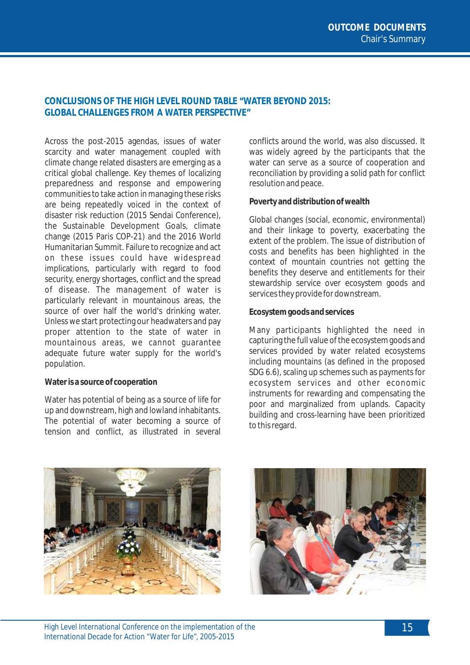# **CONCLUSIONS OF THE HIGH LEVEL ROUND TABLE "WATER BEYOND 2015: GLOBAL CHALLENGES FROM A WATER PERSPECTIVE"**

Across the post-2015 agendas, issues of water conflicts around the world, was also discussed. It<br>scarcity and water management coupled with was widely agreed by the participants that the scarcity and water management coupled with climate change related disasters are emerging as a climate change related disasters are emerging as a water can serve as a source of cooperation and<br>critical global challenge. Key themes of localizing reconciliation by providing a solid path for conflict preparedness and response and empowering communities to take action in managing these risks **Poverty and distribution of wealth** are being repeatedly voiced in the context of disaster risk reduction (2015 Sendai Conference),<br>
the Sustainable Development Goals, climate<br>
change (2015 Paris COP-21) and the 2016 World<br>
Humanitarian Summit. Failure to recognize and act<br>
on these issues could have wi source of over half the world's drinking water. **Ecosystem goods and services** Unless we start protecting our headwaters and pay proper attention to the state of water in Many participants highlighted the need in<br>mountainous areas we cannot quarantee capturing the full value of the ecosystem goods and mountainous areas, we cannot guarantee capturing the full value of the ecosystem goods and<br>adequate future water supply for the world's services provided by water related ecosystems adequate future water supply for the world's population. **including mountains (as defined in the proposed** 

Water has potential of being as a source of life for<br>up and downstream, high and lowland inhabitants.<br>The potential of water becoming a source of<br>tension and conflict, as illustrated in several<br>to this regard.

reconciliation by providing a solid path for conflict<br>resolution and peace.

SDG 6.6), scaling up schemes such as payments for Water is a source of cooperation<br>
ecosystem services and other economic<br>
instruments for rewarding and compensating the



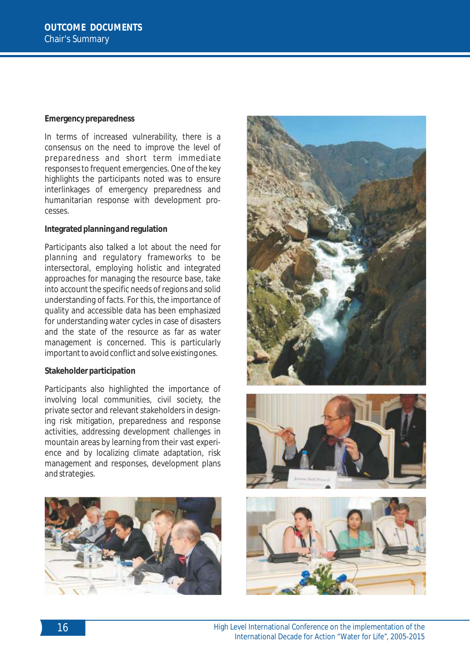### **Emergency preparedness**

In terms of increased vulnerability, there is a consensus on the need to improve the level of preparedness and short term immediate responses to frequent emergencies. One of the key highlights the participants noted was to ensure interlinkages of emergency preparedness and humanitarian response with development processes.

### **Integrated planning and regulation**

Participants also talked a lot about the need for planning and regulatory frameworks to be intersectoral, employing holistic and integrated approaches for managing the resource base, take into account the specific needs of regions and solid understanding of facts. For this, the importance of quality and accessible data has been emphasized for understanding water cycles in case of disasters and the state of the resource as far as water management is concerned. This is particularly important to avoid conflict and solve existing ones.

### **Stakeholder participation**

Participants also highlighted the importance of involving local communities, civil society, the private sector and relevant stakeholders in designing risk mitigation, preparedness and response activities, addressing development challenges in mountain areas by learning from their vast experience and by localizing climate adaptation, risk management and responses, development plans and strategies.







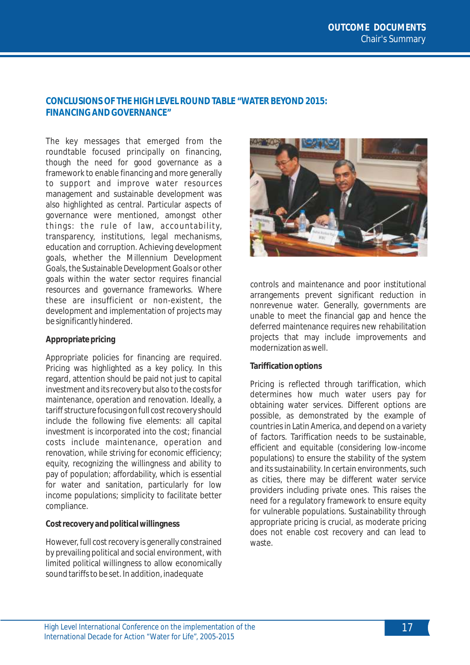# **CONCLUSIONS OF THE HIGH LEVEL ROUND TABLE "WATER BEYOND 2015: FINANCING AND GOVERNANCE"**

The key messages that emerged from the roundtable focused principally on financing, though the need for good governance as a framework to enable financing and more generally to support and improve water resources management and sustainable development was also highlighted as central. Particular aspects of governance were mentioned, amongst other things: the rule of law, accountability, transparency, institutions, legal mechanisms, education and corruption. Achieving development goals, whether the Millennium Development Goals, the Sustainable Development Goals or other goals within the water sector requires financial

Appropriate policies for financing are required. Pricing was highlighted as a key policy. In this **Tariffication options**

However, full cost recovery is generally constrained waste. by prevailing political and social environment, with limited political willingness to allow economically sound tariffs to be set. In addition, inadequate



goals within the water sector requires financial<br>resources and governance frameworks. Where<br>these are insufficient or non-existent, the<br>development and implementation of projects may<br>be significantly hindered.<br>be significa Appropriate pricing **projects** that may include improvements and modernization as well.

regard, attention should be paid not just to capital<br>
investment and its recovery but also to the costs for<br>
maintenance, operation and renovation. Ideally, a<br>
determines how much water users pay for<br>
investment is recover **Cost recovery and political willingness** appropriate pricing is crucial, as moderate pricing does not enable cost recovery and can lead to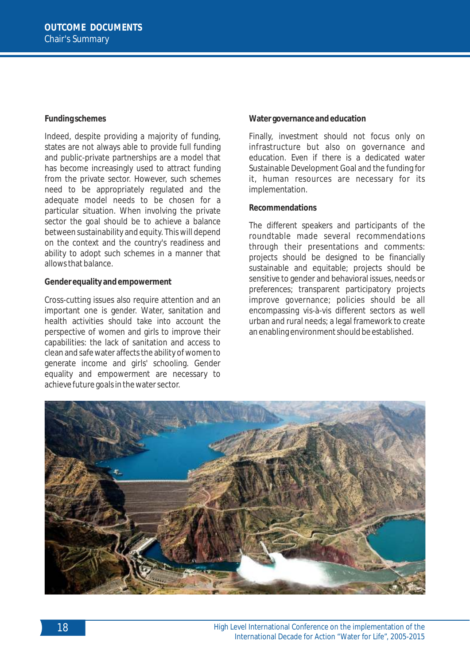Indeed, despite providing a majority of funding, Finally, investment should not focus only on states are not always able to provide full funding infrastructure but also on governance and and public-private partnerships are a model that education. Even if there is a dedicated water has become increasingly used to attract funding Sustainable Development Goal and the funding for<br>from the private sector. However, such schemes it, human resources are necessary for its need to be appropriately regulated and the implementation. adequate model needs to be chosen for a **Recommendations** particular situation. When involving the private sector the goal should be to achieve a balance<br>between sustainability and equity. This will depend<br>on the context and the country's readiness and<br>the roundtable made several recommendations<br>context and the country's readin

important one is gender. Water, sanitation and encompassing vis-à-vis different sectors as well health activities should take into account the urban and rural needs; a legal framework to create perspective of women and girls to improve their an enabling environment should be established. capabilities: the lack of sanitation and access to clean and safe water affects the ability of women to generate income and girls' schooling. Gender equality and empowerment are necessary to achieve future goals in the water sector.

### **Funding schemes Water governance and education**

it, human resources are necessary for its

on the context and the country's readiness and<br>ability to adopt such schemes in a manner that<br>allows that balance.<br>sustainable and equitable; projects should be<br>leader to be financially<br>sustainable and equitable; projects sensitive to gender and behavioral issues, needs or **Gender equality and empowerment** preferences; transparent participatory projects Cross-cutting issues also require attention and an improve governance; policies should be all

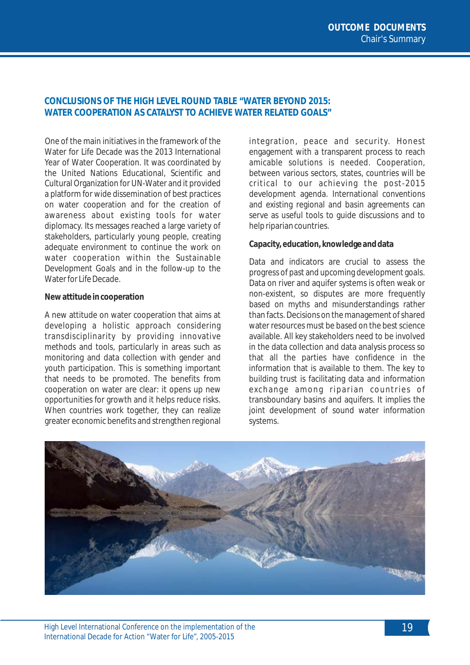# **CONCLUSIONS OF THE HIGH LEVEL ROUND TABLE "WATER BEYOND 2015: WATER COOPERATION AS CATALYST TO ACHIEVE WATER RELATED GOALS"**

One of the main initiatives in the framework of the integration, peace and security. Honest<br>Water for Life Decade was the 2013 International engagement with a transparent process to reach Water for Life Decade was the 2013 International engagement with a transparent process to reach<br>Year of Water Cooperation. It was coordinated by a micable solutions is needed. Cooperation. Year of Water Cooperation. It was coordinated by amicable solutions is needed. Cooperation,<br>the United Nations Educational, Scientific and between various sectors, states, countries will be the United Nations Educational, Scientific and between various sectors, states, countries will be Cultural Organization for UN-Water and it provided critical to our achieving the post-2015 a platform for wide dissemination of best practices development agenda. International conventions on water cooperation and for the creation of and existing regional and basin agreements can awareness about existing tools for water serve as useful tools to quide discussions and to diplomacy. Its messages reached a large variety of help riparian countries. stakeholders, particularly young people, creating **Capacity, education, knowledge and data** adequate environment to continue the work on water cooperation within the Sustainable<br>Development Goals and in the follow-up to the negations of past and upcoming development goals

A new attitude on water cooperation that aims at developing a holistic approach considering water resources must be based on the best science transdisciplinarity by providing innovative available. All key stakeholders need to be involved methods and tools, particularly in areas such as in the data collection and data analysis process so monitoring and data collection with gender and that all the parties have confidence in the vouth participation. This is something important information that is available to them. The key to youth participation. This is something important that needs to be promoted. The benefits from building trust is facilitating data and information cooperation on water are clear: it opens up new exchange among riparian countries of opportunities for growth and it helps reduce risks. transboundary basins and aquifers. It implies the When countries work together, they can realize intervel of sound water information greater economic benefits and strengthen regional systems.

critical to our achieving the post-2015

Development Goals and in the follow-up to the progress of past and upcoming development goals.<br>Water for Life Decade. Data on river and aquifer systems is often weak or<br>non-existent, so disputes are more frequently non-existent, so disputes are more frequently<br>based on myths and misunderstandings rather<br>A new attitude on water cooperation that aims at than facts. Decisions on the management of shared joint development of sound water information

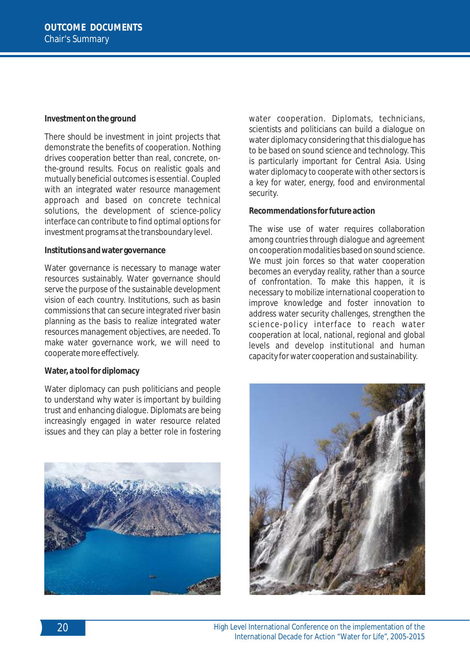There should be investment in joint projects that<br>demonstrate the benefits of cooperation. Nothing<br>drives cooperation better than real, concrete, on-<br>the-ground results. Focus on realistic goals and<br>mutually beneficial out solutions, the development of science-policy Recommendations for future action interface can contribute to find optimal options for<br>investment programs at the transboundary level. The wise use of water requires collaboration<br>among countries through dialogue and agreement

### **Water, a tool for diplomacy**

Water diplomacy can push politicians and people to understand why water is important by building trust and enhancing dialogue. Diplomats are being increasingly engaged in water resource related issues and they can play a better role in fostering

**Investment on the ground** water cooperation. Diplomats, technicians,

**Institutions and water governance** on cooperation modalities based on sound science. We must join forces so that water cooperation<br>
resources sustainably. Water governance should<br>
serve the purpose of the sustainable development<br>
vision of each country. Institutions, such as basin<br>
planning as the basis to

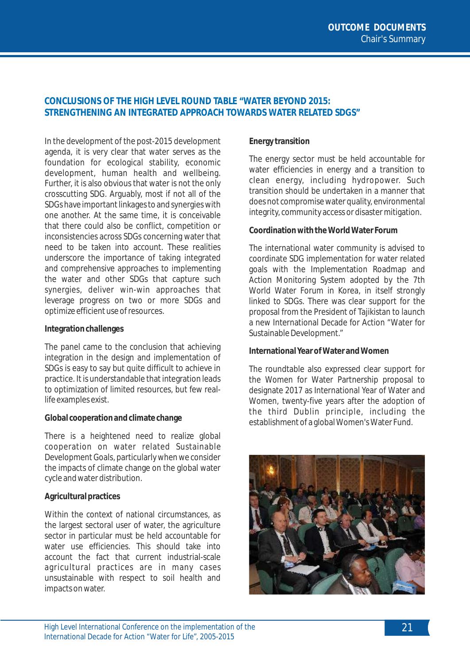# **CONCLUSIONS OF THE HIGH LEVEL ROUND TABLE "WATER BEYOND 2015: STRENGTHENING AN INTEGRATED APPROACH TOWARDS WATER RELATED SDGS"**

In the development of the post-2015 development **Energy transition** agenda, it is very clear that water serves as the<br>foundation for ecological stability, economic<br>development, human health and wellbeing.<br>Further, it is also obvious that water is not the only<br>crosscutting SDG. Arguably, mo that there could also be conflict, competition or **Coordination with the World Water Forum** inconsistencies across SDGs concerning water that need to be taken into account. These realities The international water community is advised to underscore the importance of taking integrated coordinate SDG implementation for water related underscore the importance of taking integrated coordinate SDG implementation for water related<br>and comprehensive approaches to implementing and so with the Implementation Roadmap and and comprehensive approaches to implementing and goals with the Implementation Roadmap and the water and other SDGs that capture such Action Monitoring System adopted by the 7th the water and other SDGs that capture such and Monitoring System adopted by the 7th<br>synergies, deliver win-win approaches that a World Water Forum in Korea, in itself strongly synergies, deliver win-win approaches that World Water Forum in Korea, in itself strongly<br>leverage progress on two or more SDGs and linked to SDGs. There was clear support for the leverage progress on two or more SDGs and linked to SDGs. There was clear support for the optimize efficient use of resources.

The panel came to the conclusion that achieving **International Year of Water and Women** integration in the design and implementation of SDGs is easy to say but quite difficult to achieve in SDGs is easy to say but quite difficult to achieve in The roundtable also expressed clear support for practice. It is understandable that integration leads the Women for Water Partnership proposal to practice. It is understandable that integration leads the Women for Water Partnership proposal to to optimization of limited resources, but few real-<br>designate 2017 as International Year of Water and to optimization of limited resources, but few real-<br>life examples exist.<br>Women, twenty-five years after the adoption of

There is a heightened need to realize global cooperation on water related Sustainable Development Goals, particularly when we consider the impacts of climate change on the global water cycle and water distribution.

# **Agricultural practices**

Within the context of national circumstances, as the largest sectoral user of water, the agriculture sector in particular must be held accountable for water use efficiencies. This should take into account the fact that current industrial-scale agricultural practices are in many cases unsustainable with respect to soil health and impacts on water.

proposal from the President of Tajikistan to launch a new International Decade for Action "Water for Integration challenges<br>
Sustainable Development."

Women, twenty-five years after the adoption of<br>the third Dublin principle, including the the third Dublin principle, including the **Global cooperation and climate change** establishment of a global Women's Water Fund.

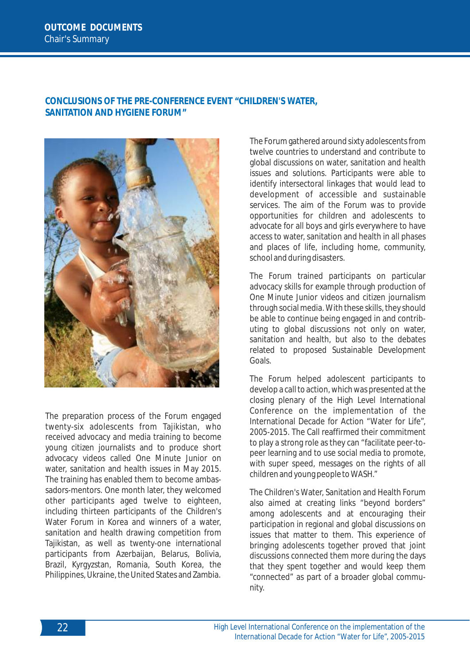# **CONCLUSIONS OF THE PRE-CONFERENCE EVENT "CHILDREN'S WATER, SANITATION AND HYGIENE FORUM"**



The preparation process of the Forum engaged<br>
twenty-six adolescents from Tajikistan, who<br>
received advocacy and media training to become<br>
young citizen journalists and to produce short<br>
advocacy videos called One Minute J sadors-mentors. One month later, they welcomed<br>
other participants aged twelve to eighteen,<br>
also aimed at creating links "beyond borders" other participants aged twelve to eighteen, also aimed at creating links "beyond borders"<br>including thirteen participants of the Children's among adolescents and at encouraging their including thirteen participants of the Children's among adolescents and at encouraging their<br>Water Forum in Korea and winners of a water, a constriction in regional and global discussions on Water Forum in Korea and winners of a water, exact participation in regional and global discussions on<br>Sanitation and health drawing competition from salies that matter to them. This experience of sanitation and health drawing competition from issues that matter to them. This experience of<br>Tajikistan, as well as twenty-one international in the handlescents tonether proved that joint Tajikistan, as well as twenty-one international bringing adolescents together proved that joint<br>participants from Azerbaijan, Belarus, Bolivia, entiscussions connected them more during the days participants from Azerbaijan, Belarus, Bolivia, and discussions connected them more during the days<br>Brazil, Kyrgyzstan, Romania, South Korea, the and the they spent together and would keen them Brazil, Kyrgyzstan, Romania, South Korea, the that they spent together and would keep them<br>Philippines,Ukraine,theUnitedStatesandZambia. The "connected" as part of a broader global commu-

The Forum gathered around sixty adolescents from twelve countries to understand and contribute to global discussions on water, sanitation and health issues and solutions. Participants were able to identify intersectoral linkages that would lead to development of accessible and sustainable services. The aim of the Forum was to provide opportunities for children and adolescents to advocate for all boys and girls everywhere to have access to water, sanitation and health in all phases and places of life, including home, community, school and during disasters.

The Forum trained participants on particular advocacy skills for example through production of One Minute Junior videos and citizen journalism through social media. With these skills, they should be able to continue being engaged in and contributing to global discussions not only on water, sanitation and health, but also to the debates related to proposed Sustainable Development Goals.

The Forum helped adolescent participants to develop a call to action, which was presented at the closing plenary of the High Level International<br>Conference on the implementation of the

"connected" as part of a broader global community.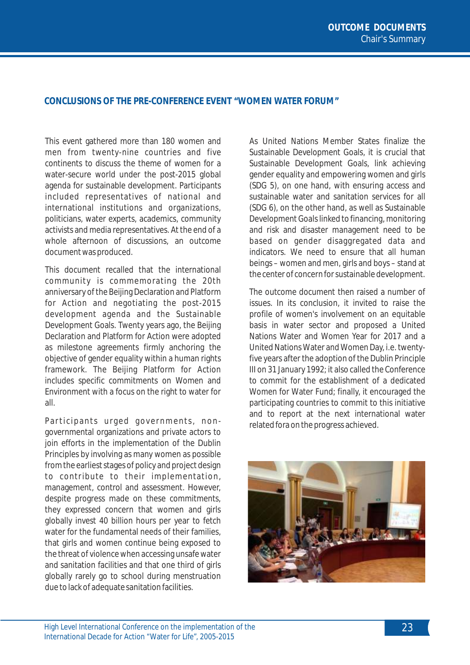# **CONCLUSIONS OF THE PRE-CONFERENCE EVENT "WOMEN WATER FORUM"**

This event gathered more than 180 women and As United Nations Member States finalize the men from twenty-nine countries and five Sustainable Development Goals, it is crucial that continents to discuss the theme of women for a Sustainable Development Goals, link achieving water-secure world under the post-2015 global gender equality and empowering women and girls agenda for sustainable development. Participants (SDG 5), on one hand, with ensuring access and included representatives of national and sustainable water and sanitation services for all international institutions and organizations, (SDG 6), on the other hand, as well as Sustainable politicians, water experts, academics, community Development Goals linked to financing, monitoring activists and media representatives. At the end of a and risk and disaster management need to be whole afternoon of discussions, an outcome based on gender disaggregated data and document was produced. indicators. We need to ensure that all human

This document recalled that the international beings – women and men, girls and boys – stand at the center of concern for sustainable development.<br>
community is commemorating the 20th anniversary of the Beijing Declaration and Platform The outcome document then raised a number of for Action and negotiating the post-2015 issues. In its conclusion, it invited to raise the development agenda and the Sustainable profile of women's involvement on an equitable Development Goals. Twenty years ago, the Beijing basis in water sector and proposed a United Declaration and Platform for Action were adopted Nations Water and Women Year for 2017 and a as milestone agreements firmly anchoring the United Nations Water and Women Day, i.e. twentyobjective of gender equality within a human rights five years after the adoption of the Dublin Principle framework. The Beiling Platform for Action III on 31 January 1992; it also called the Conference includes specific commitments on Women and to commit for the establishment of a dedicated Environment with a focus on the right to water for Women for Water Fund; finally, it encouraged the all. participating countries to commit to this initiative

join efforts in the implementation of the Dublin Principles by involving as many women as possible from the earliest stages of policy and project design to contribute to their implementation, management, control and assessment. However, despite progress made on these commitments, they expressed concern that women and girls globally invest 40 billion hours per year to fetch water for the fundamental needs of their families, that girls and women continue being exposed to the threat of violence when accessing unsafe water and sanitation facilities and that one third of girls globally rarely go to school during menstruation due to lack of adequate sanitation facilities.

Participants urged governments, non-<br>
and to report at the next international water<br>
governmental organizations and private actors to<br>
governmental organizations and private actors to

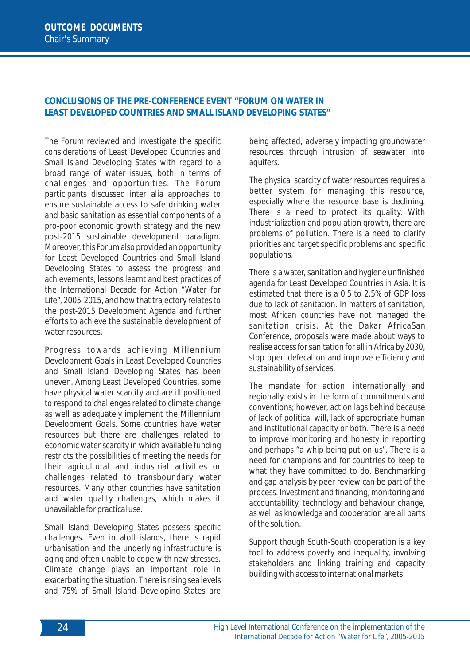# **CONCLUSIONS OF THE PRE-CONFERENCE EVENT "FORUM ON WATER IN LEAST DEVELOPED COUNTRIES AND SMALL ISLAND DEVELOPING STATES"**

The Forum reviewed and investigate the specific being affected, adversely impacting groundwater<br>considerations of Least Developed Countries and resources through intrusion of seawater into Small Island Developing States with regard to a aquifers.<br>broad range of water issues, both in terms of broad range of water issues, both in terms of<br>
challenges and opportunities. The Forum<br>
participants discussed inter alia approaches to<br>
ensure sustainable access to safe drinking water<br>
and basic sanitation as essential c Moreover, this Forum also provided an opportunity priorities and target specific problems and specific<br>for Losst Developed Countries and Small Island populations. for Least Developed Countries and Small Island Developing States to assess the progress and<br>achievements, lessons learnt and best practices of<br>the International Decade for Action "Water for<br>Life", 2005-2015, and how that trajectory relates to<br>the had that there is a 0. the 2005-2015, and now that trajectory relates to<br>the post-2015 Development Agenda and further<br>efforts to achieve the sustainable development of<br>water resources.

Progress towards achieving Millennium realise access for sanitation for all in Africa by 2030,<br>Development Goals in Least Developed Countries stop open defecation and improve efficiency and<br>and Small Island Developing Stat

Small Island Developing States possess specific of the solution. challenges. Even in atoll islands, there is rapid<br>urbanisation and the underlying infrastructure is<br>aging and often unable to cope with new stresses.<br>Climate change plays an important role in<br>exacerbating the situation. Th and 75% of Small Island Developing States are

resources through intrusion of seawater into

Conference, proposals were made about ways to

meven. Among Least Developed Countries, some<br>
thave physical water scarcity and are ill positioned<br>
to respond to challenges related to climate change<br>
as well as adequately implement the Millennium<br>
regionally, exists in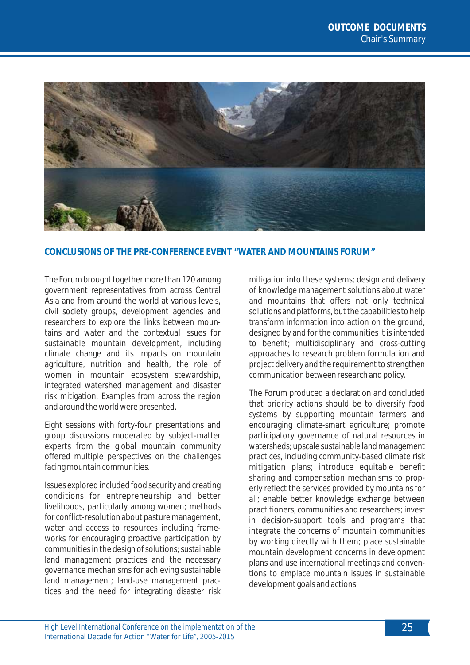

# **CONCLUSIONS OF THE PRE-CONFERENCE EVENT "WATER AND MOUNTAINS FORUM"**

The Forum brought together more than 120 among mitigation into these systems; design and delivery advertment representatives from across Central of knowledge management solutions about water Asia and from around the world at various levels, and mountains that offers not only technical civil society groups, development agencies and solutions and platforms, but the capabilities to help researchers to explore the links between moun-<br>transform information into action on the ground, tains and water and the contextual issues for designed by and for the communities it is intended sustainable mountain development, including to benefit; multidisciplinary and cross-cutting climate change and its impacts on mountain approaches to research problem formulation and agriculture, nutrition and health, the role of project delivery and the requirement to strengthen women in mountain ecosystem stewardship, communication between research and policy.<br>integrated watershed management and disaster

group discussions moderated by subject-matter aparticipatory governance of natural resources in<br>experts from the global mountain community watersheds; upscale sustainable land management experts from the global mountain community watersheds; upscale sustainable land management<br>offered multiple perspectives on the challenges practices including community-based climate risk offered multiple perspectives on the challenges practices, including community-based climate risk<br>facing mountain communities.<br>mitigation plans: introduce equitable benefit

Saues explored included food security and creating<br>
sharing and compensation mechanisms to prop-<br>
conditions for entrepreneurship and better<br>
livelihoods, particularly among women; methods<br>
for conflict-resolution about pa

of knowledge management solutions about water

The Forum produced a declaration and concluded<br>and around the world were presented.<br>The Forum produced a declaration and concluded<br>systems by supporting mountain farmers and Eight sessions with forty-four presentations and encouraging climate-smart agriculture; promote mitigation plans; introduce equitable benefit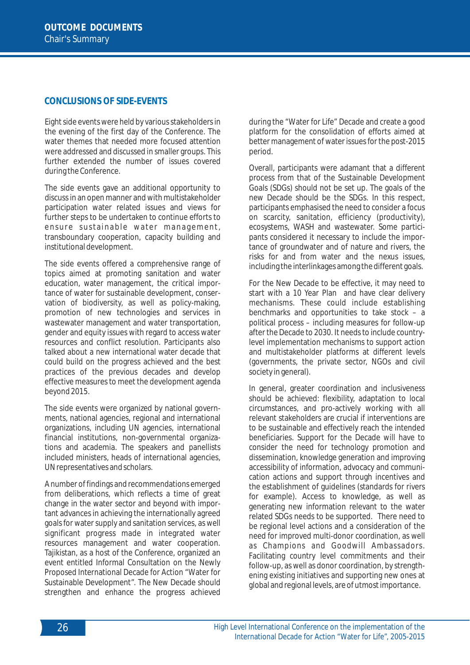### **CONCLUSIONS OF SIDE-EVENTS**

Eight side events were held by various stakeholders in during the "Water for Life" Decade and create a good the evening of the first day of the Conference. The platform for the consolidation of efforts aimed at water themes that needed more focused attention better management of water issues for the post-2015<br>were addressed and discussed in smaller groups. This period. were addressed and discussed in smaller groups. This further extended the number of issues covered

The side events gave an additional opportunity to Goals (SDGs) should not be set up. The goals of the discuss in an open manner and with multistakeholder new Decade should be the SDGs. In this respect, participation water related issues and views for participants emphasised the need to consider a focus further steps to be undertaken to continue efforts to on scarcity, sanitation, efficiency (productivity), en sure sustainable water management, ecosystems, WASH and wastewater. Some particitransboundary cooperation, capacity building and pants considered it necessary to include the impor-

The side events offered a comprehensive range of<br>topics aimed at promoting sanitation and water<br>education, water management, the critical impor-<br>For the New Decade to be effective, it may need to tance of water for sustainable development, conser-<br>vation of biodiversity, as well as policy-making, and mechanisms. These could include establishing vation of biodiversity, as well as policy-making, promotion of new technologies and services in benchmarks and opportunities to take stock – a wastewater management and water transportation, political process – including measures for follow-up<br>
gender and equity issues with regard to access water after the Decade to 2030. It needs to include countrygender and equity issues with regard to access water resources and conflict resolution. Participants also level implementation mechanisms to support action<br>talked about a new international water decade that and multistakeholder platforms at different levels could build on the progress achieved and the best practices of the previous decades and develop society in general). effective measures to meet the development agenda<br>In general, greater coordination and inclusiveness beyond 2015.<br>should be achieved: flexibility, adaptation to local

The side events were organized by national govern- circumstances, and pro-actively working with all ments, national agencies, regional and international relevant stakeholders are crucial if interventions are organizations, including UN agencies, international to be sustainable and effectively reach the intended financial institutions, non-governmental organiza-<br>
tions and academia. The speakers and panellists<br>
consider the need for technology promotion and tions and academia. The speakers and panellists consider the need for technology promotion and included ministers, heads of international agencies, dissemination, knowledge generation and improving UN representatives and scholars. accessibility of information, advocacy and communi-

A number of findings and recommendations emerged<br>
from deliberations, which reflects a time of great<br>
change in the water sector and beyond with impor-<br>
tant advances in achieving the internationally agreed<br>
goals for wate

Overall, participants were adamant that a different during the Conference.<br>process from that of the Sustainable Development institutional development.<br>tance of groundwater and of nature and rivers, the<br>risks for and from water and the nexus issues.

> For the New Decade to be effective, it may need to and multistakeholder platforms at different levels<br>(governments, the private sector, NGOs and civil

> dissemination, knowledge generation and improving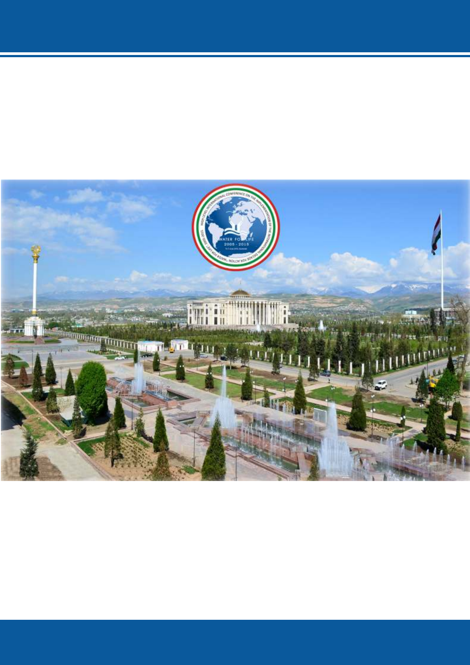